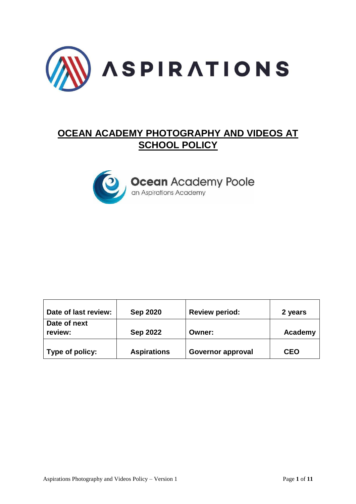

# **OCEAN ACADEMY PHOTOGRAPHY AND VIDEOS AT SCHOOL POLICY**



| Date of last review:    | <b>Sep 2020</b>    | <b>Review period:</b>    | 2 years    |
|-------------------------|--------------------|--------------------------|------------|
| Date of next<br>review: | <b>Sep 2022</b>    | <b>Owner:</b>            | Academy    |
| Type of policy:         | <b>Aspirations</b> | <b>Governor approval</b> | <b>CEO</b> |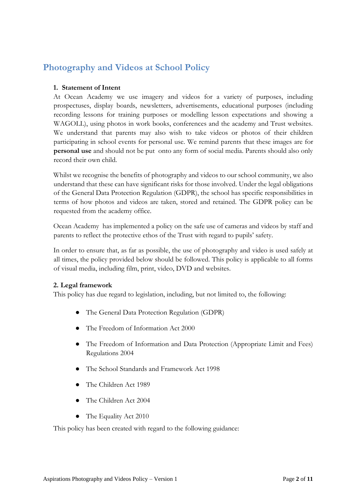## **Photography and Videos at School Policy**

#### **1. Statement of Intent**

At Ocean Academy we use imagery and videos for a variety of purposes, including prospectuses, display boards, newsletters, advertisements, educational purposes (including recording lessons for training purposes or modelling lesson expectations and showing a WAGOLL), using photos in work books, conferences and the academy and Trust websites. We understand that parents may also wish to take videos or photos of their children participating in school events for personal use. We remind parents that these images are for **personal use** and should not be put onto any form of social media. Parents should also only record their own child.

Whilst we recognise the benefits of photography and videos to our school community, we also understand that these can have significant risks for those involved. Under the legal obligations of the General Data Protection Regulation (GDPR), the school has specific responsibilities in terms of how photos and videos are taken, stored and retained. The GDPR policy can be requested from the academy office.

Ocean Academy has implemented a policy on the safe use of cameras and videos by staff and parents to reflect the protective ethos of the Trust with regard to pupils' safety.

In order to ensure that, as far as possible, the use of photography and video is used safely at all times, the policy provided below should be followed. This policy is applicable to all forms of visual media, including film, print, video, DVD and websites.

#### **2. Legal framework**

This policy has due regard to legislation, including, but not limited to, the following:

- The General Data Protection Regulation (GDPR)
- The Freedom of Information Act 2000
- The Freedom of Information and Data Protection (Appropriate Limit and Fees) Regulations 2004
- The School Standards and Framework Act 1998
- The Children Act 1989
- The Children Act 2004
- The Equality Act 2010

This policy has been created with regard to the following guidance: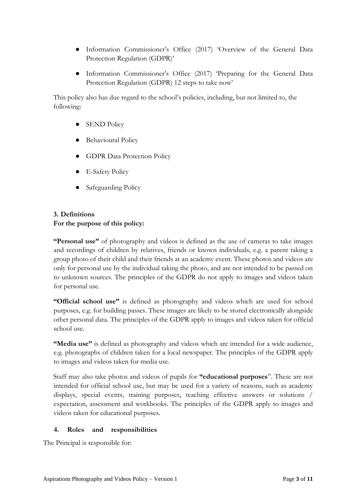- Information Commissioner's Office (2017) 'Overview of the General Data Protection Regulation (GDPR)'
- Information Commissioner's Office (2017) 'Preparing for the General Data Protection Regulation (GDPR) 12 steps to take now'

This policy also has due regard to the school's policies, including, but not limited to, the following:

- SEND Policy
- Behavioural Policy
- GDPR Data Protection Policy
- E-Safety Policy
- Safeguarding Policy

### **3. Definitions For the purpose of this policy:**

**"Personal use"** of photography and videos is defined as the use of cameras to take images and recordings of children by relatives, friends or known individuals, e.g. a parent taking a group photo of their child and their friends at an academy event. These photos and videos are only for personal use by the individual taking the photo, and are not intended to be passed on to unknown sources. The principles of the GDPR do not apply to images and videos taken for personal use.

**"Official school use"** is defined as photography and videos which are used for school purposes, e.g. for building passes. These images are likely to be stored electronically alongside other personal data. The principles of the GDPR apply to images and videos taken for official school use.

**"Media use"** is defined as photography and videos which are intended for a wide audience, e.g. photographs of children taken for a local newspaper. The principles of the GDPR apply to images and videos taken for media use.

Staff may also take photos and videos of pupils for **"educational purposes**". These are not intended for official school use, but may be used for a variety of reasons, such as academy displays, special events, training purposes, teaching effective answers or solutions / expectation, assessment and workbooks. The principles of the GDPR apply to images and videos taken for educational purposes.

#### **4. Roles and responsibilities**

The Principal is responsible for: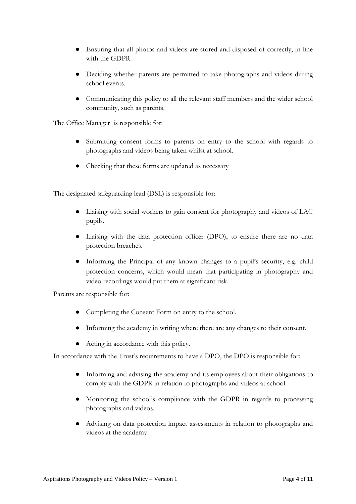- Ensuring that all photos and videos are stored and disposed of correctly, in line with the GDPR.
- Deciding whether parents are permitted to take photographs and videos during school events.
- Communicating this policy to all the relevant staff members and the wider school community, such as parents.

The Office Manager is responsible for:

- Submitting consent forms to parents on entry to the school with regards to photographs and videos being taken whilst at school.
- Checking that these forms are updated as necessary

The designated safeguarding lead (DSL) is responsible for:

- Liaising with social workers to gain consent for photography and videos of LAC pupils.
- Liaising with the data protection officer (DPO), to ensure there are no data protection breaches.
- Informing the Principal of any known changes to a pupil's security, e.g. child protection concerns, which would mean that participating in photography and video recordings would put them at significant risk.

Parents are responsible for:

- Completing the Consent Form on entry to the school.
- Informing the academy in writing where there are any changes to their consent.
- Acting in accordance with this policy.

In accordance with the Trust's requirements to have a DPO, the DPO is responsible for:

- Informing and advising the academy and its employees about their obligations to comply with the GDPR in relation to photographs and videos at school.
- Monitoring the school's compliance with the GDPR in regards to processing photographs and videos.
- Advising on data protection impact assessments in relation to photographs and videos at the academy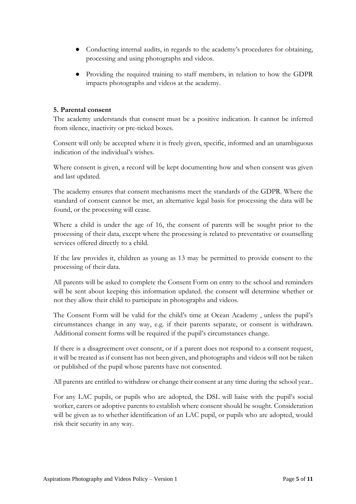- Conducting internal audits, in regards to the academy's procedures for obtaining, processing and using photographs and videos.
- Providing the required training to staff members, in relation to how the GDPR impacts photographs and videos at the academy.

#### **5. Parental consent**

The academy understands that consent must be a positive indication. It cannot be inferred from silence, inactivity or pre-ticked boxes.

Consent will only be accepted where it is freely given, specific, informed and an unambiguous indication of the individual's wishes.

Where consent is given, a record will be kept documenting how and when consent was given and last updated.

The academy ensures that consent mechanisms meet the standards of the GDPR. Where the standard of consent cannot be met, an alternative legal basis for processing the data will be found, or the processing will cease.

Where a child is under the age of 16, the consent of parents will be sought prior to the processing of their data, except where the processing is related to preventative or counselling services offered directly to a child.

If the law provides it, children as young as 13 may be permitted to provide consent to the processing of their data.

All parents will be asked to complete the Consent Form on entry to the school and reminders will be sent about keeping this information updated. the consent will determine whether or not they allow their child to participate in photographs and videos.

The Consent Form will be valid for the child's time at Ocean Academy , unless the pupil's circumstances change in any way, e.g. if their parents separate, or consent is withdrawn. Additional consent forms will be required if the pupil's circumstances change.

If there is a disagreement over consent, or if a parent does not respond to a consent request, it will be treated as if consent has not been given, and photographs and videos will not be taken or published of the pupil whose parents have not consented.

All parents are entitled to withdraw or change their consent at any time during the school year..

For any LAC pupils, or pupils who are adopted, the DSL will liaise with the pupil's social worker, carers or adoptive parents to establish where consent should be sought. Consideration will be given as to whether identification of an LAC pupil, or pupils who are adopted, would risk their security in any way.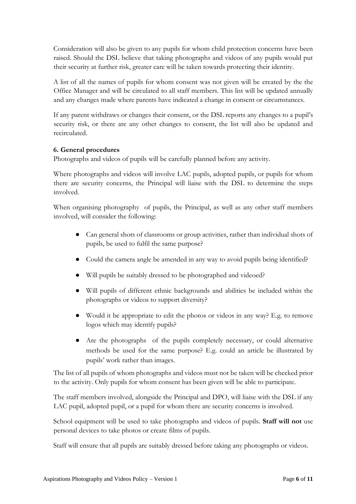Consideration will also be given to any pupils for whom child protection concerns have been raised. Should the DSL believe that taking photographs and videos of any pupils would put their security at further risk, greater care will be taken towards protecting their identity.

A list of all the names of pupils for whom consent was not given will be created by the the Office Manager and will be circulated to all staff members. This list will be updated annually and any changes made where parents have indicated a change in consent or circumstances.

If any parent withdraws or changes their consent, or the DSL reports any changes to a pupil's security risk, or there are any other changes to consent, the list will also be updated and recirculated.

#### **6. General procedures**

Photographs and videos of pupils will be carefully planned before any activity.

Where photographs and videos will involve LAC pupils, adopted pupils, or pupils for whom there are security concerns, the Principal will liaise with the DSL to determine the steps involved.

When organising photography of pupils, the Principal, as well as any other staff members involved, will consider the following:

- Can general shots of classrooms or group activities, rather than individual shots of pupils, be used to fulfil the same purpose?
- Could the camera angle be amended in any way to avoid pupils being identified?
- Will pupils be suitably dressed to be photographed and videoed?
- Will pupils of different ethnic backgrounds and abilities be included within the photographs or videos to support diversity?
- Would it be appropriate to edit the photos or videos in any way? E.g. to remove logos which may identify pupils?
- Are the photographs of the pupils completely necessary, or could alternative methods be used for the same purpose? E.g. could an article be illustrated by pupils' work rather than images.

The list of all pupils of whom photographs and videos must not be taken will be checked prior to the activity. Only pupils for whom consent has been given will be able to participate.

The staff members involved, alongside the Principal and DPO, will liaise with the DSL if any LAC pupil, adopted pupil, or a pupil for whom there are security concerns is involved.

School equipment will be used to take photographs and videos of pupils. **Staff will not** use personal devices to take photos or create films of pupils.

Staff will ensure that all pupils are suitably dressed before taking any photographs or videos.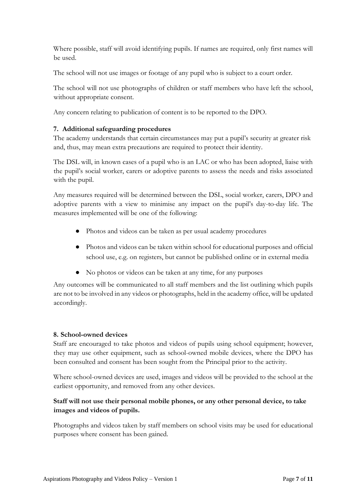Where possible, staff will avoid identifying pupils. If names are required, only first names will be used.

The school will not use images or footage of any pupil who is subject to a court order.

The school will not use photographs of children or staff members who have left the school, without appropriate consent.

Any concern relating to publication of content is to be reported to the DPO.

#### **7. Additional safeguarding procedures**

The academy understands that certain circumstances may put a pupil's security at greater risk and, thus, may mean extra precautions are required to protect their identity.

The DSL will, in known cases of a pupil who is an LAC or who has been adopted, liaise with the pupil's social worker, carers or adoptive parents to assess the needs and risks associated with the pupil.

Any measures required will be determined between the DSL, social worker, carers, DPO and adoptive parents with a view to minimise any impact on the pupil's day-to-day life. The measures implemented will be one of the following:

- Photos and videos can be taken as per usual academy procedures
- Photos and videos can be taken within school for educational purposes and official school use, e.g. on registers, but cannot be published online or in external media
- No photos or videos can be taken at any time, for any purposes

Any outcomes will be communicated to all staff members and the list outlining which pupils are not to be involved in any videos or photographs, held in the academy office, will be updated accordingly.

#### **8. School-owned devices**

Staff are encouraged to take photos and videos of pupils using school equipment; however, they may use other equipment, such as school-owned mobile devices, where the DPO has been consulted and consent has been sought from the Principal prior to the activity.

Where school-owned devices are used, images and videos will be provided to the school at the earliest opportunity, and removed from any other devices.

#### **Staff will not use their personal mobile phones, or any other personal device, to take images and videos of pupils.**

Photographs and videos taken by staff members on school visits may be used for educational purposes where consent has been gained.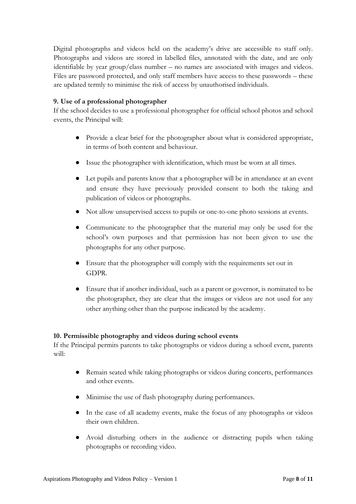Digital photographs and videos held on the academy's drive are accessible to staff only. Photographs and videos are stored in labelled files, annotated with the date, and are only identifiable by year group/class number – no names are associated with images and videos. Files are password protected, and only staff members have access to these passwords – these are updated termly to minimise the risk of access by unauthorised individuals.

#### **9. Use of a professional photographer**

If the school decides to use a professional photographer for official school photos and school events, the Principal will:

- Provide a clear brief for the photographer about what is considered appropriate, in terms of both content and behaviour.
- Issue the photographer with identification, which must be worn at all times.
- Let pupils and parents know that a photographer will be in attendance at an event and ensure they have previously provided consent to both the taking and publication of videos or photographs.
- Not allow unsupervised access to pupils or one-to-one photo sessions at events.
- Communicate to the photographer that the material may only be used for the school's own purposes and that permission has not been given to use the photographs for any other purpose.
- Ensure that the photographer will comply with the requirements set out in GDPR.
- Ensure that if another individual, such as a parent or governor, is nominated to be the photographer, they are clear that the images or videos are not used for any other anything other than the purpose indicated by the academy.

#### **10. Permissible photography and videos during school events**

If the Principal permits parents to take photographs or videos during a school event, parents will:

- Remain seated while taking photographs or videos during concerts, performances and other events.
- Minimise the use of flash photography during performances.
- In the case of all academy events, make the focus of any photographs or videos their own children.
- Avoid disturbing others in the audience or distracting pupils when taking photographs or recording video.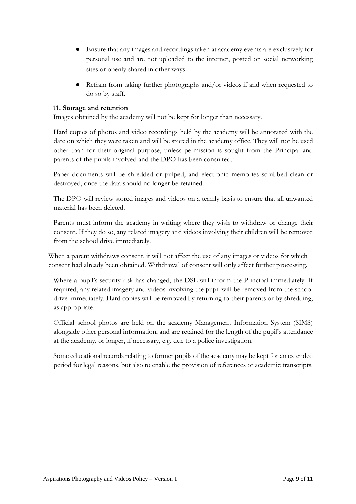- Ensure that any images and recordings taken at academy events are exclusively for personal use and are not uploaded to the internet, posted on social networking sites or openly shared in other ways.
- Refrain from taking further photographs and/or videos if and when requested to do so by staff.

#### **11. Storage and retention**

Images obtained by the academy will not be kept for longer than necessary.

Hard copies of photos and video recordings held by the academy will be annotated with the date on which they were taken and will be stored in the academy office. They will not be used other than for their original purpose, unless permission is sought from the Principal and parents of the pupils involved and the DPO has been consulted.

Paper documents will be shredded or pulped, and electronic memories scrubbed clean or destroyed, once the data should no longer be retained.

The DPO will review stored images and videos on a termly basis to ensure that all unwanted material has been deleted.

Parents must inform the academy in writing where they wish to withdraw or change their consent. If they do so, any related imagery and videos involving their children will be removed from the school drive immediately.

When a parent withdraws consent, it will not affect the use of any images or videos for which consent had already been obtained. Withdrawal of consent will only affect further processing.

Where a pupil's security risk has changed, the DSL will inform the Principal immediately. If required, any related imagery and videos involving the pupil will be removed from the school drive immediately. Hard copies will be removed by returning to their parents or by shredding, as appropriate.

Official school photos are held on the academy Management Information System (SIMS) alongside other personal information, and are retained for the length of the pupil's attendance at the academy, or longer, if necessary, e.g. due to a police investigation.

Some educational records relating to former pupils of the academy may be kept for an extended period for legal reasons, but also to enable the provision of references or academic transcripts.